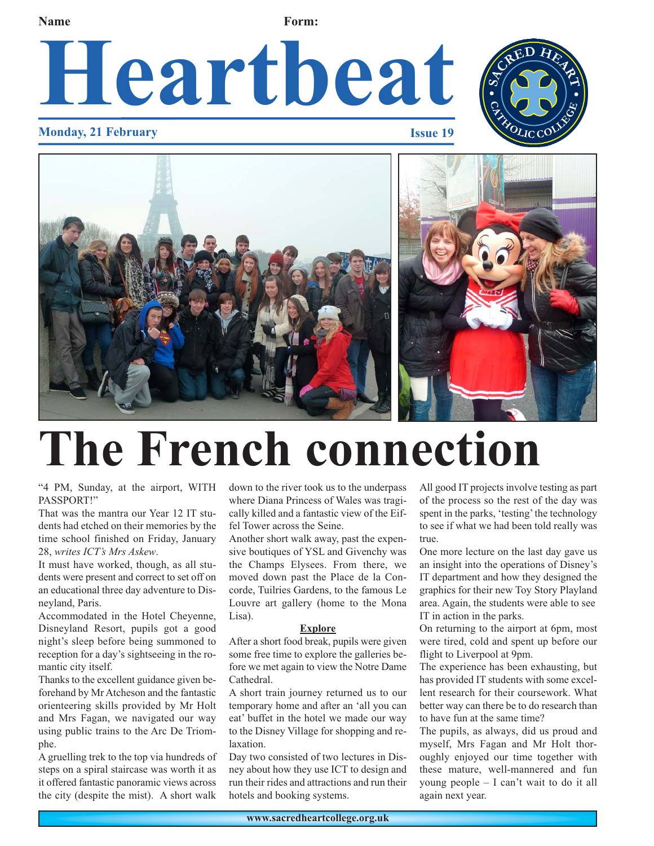**Name Form:** 

# **Heartbeat**



### **Monday, 21 February Issue 19**



## **The French connection**

"4 PM, Sunday, at the airport, WITH PASSPORT!"

That was the mantra our Year 12 IT students had etched on their memories by the time school finished on Friday, January 28, *writes ICT's Mrs Askew*.

It must have worked, though, as all students were present and correct to set off on an educational three day adventure to Disneyland, Paris.

Accommodated in the Hotel Cheyenne, Disneyland Resort, pupils got a good night's sleep before being summoned to reception for a day's sightseeing in the romantic city itself.

Thanks to the excellent guidance given beforehand by Mr Atcheson and the fantastic orienteering skills provided by Mr Holt and Mrs Fagan, we navigated our way using public trains to the Arc De Triomphe.

A gruelling trek to the top via hundreds of steps on a spiral staircase was worth it as it offered fantastic panoramic views across the city (despite the mist). A short walk

down to the river took us to the underpass where Diana Princess of Wales was tragically killed and a fantastic view of the Eiffel Tower across the Seine.

Another short walk away, past the expensive boutiques of YSL and Givenchy was the Champs Elysees. From there, we moved down past the Place de la Concorde, Tuilries Gardens, to the famous Le Louvre art gallery (home to the Mona Lisa).

#### **Explore**

After a short food break, pupils were given some free time to explore the galleries before we met again to view the Notre Dame Cathedral.

A short train journey returned us to our temporary home and after an 'all you can eat' buffet in the hotel we made our way to the Disney Village for shopping and relaxation.

Day two consisted of two lectures in Disney about how they use ICT to design and run their rides and attractions and run their hotels and booking systems.

All good IT projects involve testing as part of the process so the rest of the day was spent in the parks, 'testing' the technology to see if what we had been told really was true.

One more lecture on the last day gave us an insight into the operations of Disney's IT department and how they designed the graphics for their new Toy Story Playland area. Again, the students were able to see IT in action in the parks.

On returning to the airport at 6pm, most were tired, cold and spent up before our flight to Liverpool at 9pm.

The experience has been exhausting, but has provided IT students with some excellent research for their coursework. What better way can there be to do research than to have fun at the same time?

The pupils, as always, did us proud and myself, Mrs Fagan and Mr Holt thoroughly enjoyed our time together with these mature, well-mannered and fun young people – I can't wait to do it all again next year.